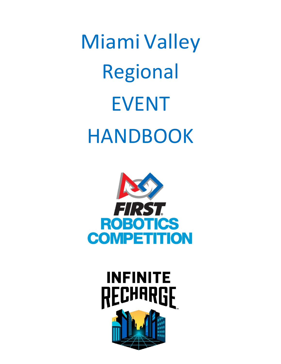Miami Valley Regional EVENT HANDBOOK



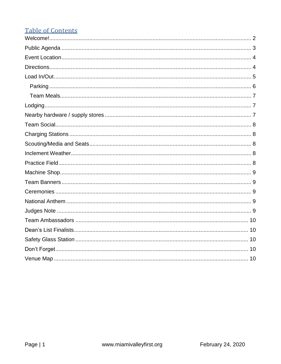# **Table of Contents**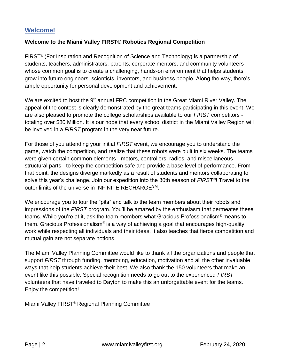## <span id="page-2-0"></span>**Welcome!**

#### **Welcome to the Miami Valley FIRST® Robotics Regional Competition**

FIRST® (For Inspiration and Recognition of Science and Technology) is a partnership of students, teachers, administrators, parents, corporate mentors, and community volunteers whose common goal is to create a challenging, hands-on environment that helps students grow into future engineers, scientists, inventors, and business people. Along the way, there's ample opportunity for personal development and achievement.

We are excited to host the 9<sup>th</sup> annual FRC competition in the Great Miami River Valley. The appeal of the contest is clearly demonstrated by the great teams participating in this event. We are also pleased to promote the college scholarships available to our *FIRST* competitors totaling over \$80 Million. It is our hope that every school district in the Miami Valley Region will be involved in a *FIRST* program in the very near future.

For those of you attending your initial *FIRST* event, we encourage you to understand the game, watch the competition, and realize that these robots were built in six weeks. The teams were given certain common elements - motors, controllers, radios, and miscellaneous structural parts - to keep the competition safe and provide a base level of performance. From that point, the designs diverge markedly as a result of students and mentors collaborating to solve this year's challenge. Join our expedition into the 30th season of *FIRST*®! Travel to the outer limits of the universe in INFINITE RECHARGESM.

We encourage you to tour the "pits" and talk to the team members about their robots and impressions of the *FIRST* program. You'll be amazed by the enthusiasm that permeates these teams. While you're at it, ask the team members what Gracious Professionalism© means to them. Gracious Professionalism<sup>®</sup> is a way of achieving a goal that encourages high-quality work while respecting all individuals and their ideas. It also teaches that fierce competition and mutual gain are not separate notions.

The Miami Valley Planning Committee would like to thank all the organizations and people that support *FIRST* through funding, mentoring, education, motivation and all the other invaluable ways that help students achieve their best. We also thank the 150 volunteers that make an event like this possible. Special recognition needs to go out to the experienced *FIRST*  volunteers that have traveled to Dayton to make this an unforgettable event for the teams. Enjoy the competition!

Miami Valley FIRST® Regional Planning Committee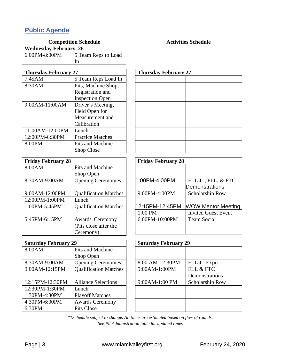# <span id="page-3-0"></span>**Public Agenda**

| Competition Schedule         |                           |
|------------------------------|---------------------------|
| <b>Wednesday February 26</b> |                           |
| 6:00PM-8:00PM                | 5 Team Reps to Load<br>In |
|                              |                           |

## **Competition Schedule Activities Activities Schedule**

| <b>Thursday February 27</b> |                         |
|-----------------------------|-------------------------|
| 7:45AM                      | 5 Team Reps Load In     |
| 8:30AM                      | Pits, Machine Shop,     |
|                             | Registration and        |
|                             | <b>Inspection Open</b>  |
| 9:00AM-11:00AM              | Driver's Meeting,       |
|                             | Field Open for          |
|                             | Measurement and         |
|                             | Calibration             |
| 11:00AM-12:00PM             | Lunch                   |
| 12:00PM-6:30PM              | <b>Practice Matches</b> |
| 8:00PM                      | <b>Pits and Machine</b> |
|                             | <b>Shop Close</b>       |

| <b>Friday February 28</b> |                              |
|---------------------------|------------------------------|
| 8:00AM                    | Pits and Machine             |
|                           | Shop Open                    |
| 8:30AM-9:00AM             | <b>Opening Ceremonies</b>    |
| 9:00AM-12:00PM            | <b>Qualification Matches</b> |
| 12:00PM-1:00PM            | Lunch                        |
| $1:00PM - 5:45PM$         | <b>Qualification Matches</b> |
| 5:45PM-6:15PM             | <b>Awards Ceremony</b>       |
|                           | (Pits close after the        |
|                           | Ceremony)                    |

| <b>Saturday February 29</b> |                              |
|-----------------------------|------------------------------|
| 8:00AM                      | Pits and Machine             |
|                             | Shop Open                    |
| 8:30AM-9:00AM               | <b>Opening Ceremonies</b>    |
| 9:00AM-12:15PM              | <b>Qualification Matches</b> |
|                             |                              |
| 12:15PM-12:30PM             | <b>Alliance Selections</b>   |
| 12:30PM-1:30PM              | Lunch                        |
| 1:30PM-4:30PM               | <b>Playoff Matches</b>       |
| 4:30PM-6:00PM               | <b>Awards Ceremony</b>       |
| 6:30PM                      | <b>Pits Close</b>            |

| <b>Thursday February 27</b> |  |
|-----------------------------|--|
|                             |  |
|                             |  |
|                             |  |
|                             |  |
|                             |  |
|                             |  |
|                             |  |
|                             |  |
|                             |  |
|                             |  |
|                             |  |
|                             |  |

| <b>Friday February 28</b> |                            |
|---------------------------|----------------------------|
|                           |                            |
| 1:00PM-4:00PM             | FLL Jr., FLL, & FTC        |
|                           | Demonstrations             |
| $9:00$ PM-4:00PM          | Scholarship Row            |
| 12:15PM-12:45PM           | <b>WOW Mentor Meeting</b>  |
| $1:00$ PM                 | <b>Invited Guest Event</b> |
| $6:00PM - 10:00PM$        | Team Social                |

| <b>Saturday February 29</b> |                 |
|-----------------------------|-----------------|
|                             |                 |
|                             |                 |
| 8:00 AM-12:30PM             | FLL Jr. Expo    |
| 9:00AM-1:00PM               | FLL & FTC       |
|                             | Demonstrations  |
| 9:00AM-1:00 PM              | Scholarship Row |
|                             |                 |
|                             |                 |
|                             |                 |
|                             |                 |

*\*\*Schedule subject to change. All times are estimated based on flow of rounds. See Pit Administration table for updated times*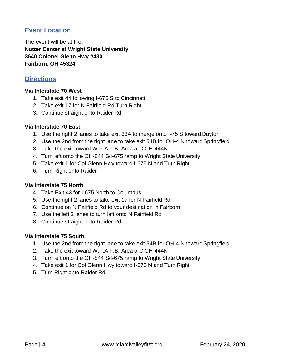## <span id="page-4-0"></span>**Event Location**

The event will be at the: **Nutter Center at Wright State University 3640 Colonel Glenn Hwy #430 Fairborn, OH 45324**

## <span id="page-4-1"></span>**Directions**

#### **Via Interstate 70 West**

- 1. Take exit 44 following I-675 S to Cincinnati
- 2. Take exit 17 for N Fairfield Rd Turn Right
- 3. Continue straight onto Raider Rd

#### **Via Interstate 70 East**

- 1. Use the right 2 lanes to take exit 33A to merge onto I-75 S toward Dayton
- 2. Use the 2nd from the right lane to take exit 54B for OH-4 N toward Springfield
- 3. Take the exit toward W.P.A.F.B. Area a-C OH-444N
- 4. Turn left onto the OH-844 S/I-675 ramp to Wright State University
- 5. Take exit 1 for Col Glenn Hwy toward I-675 N and Turn Right
- 6. Turn Right onto Raider

#### **Via Interstate 75 North**

- 4. Take Exit 43 for I-675 North to Columbus
- 5. Use the right 2 lanes to take exit 17 for N Fairfield Rd
- 6. Continue on N Fairfield Rd to your destination in Fairborn
- 7. Use the left 2 lanes to turn left onto N Fairfield Rd
- 8. Continue straight onto Raider Rd

#### **Via Interstate 75 South**

- 1. Use the 2nd from the right lane to take exit 54B for OH-4 N toward Springfield
- 2. Take the exit toward W.P.A.F.B. Area a-C OH-444N
- 3. Turn left onto the OH-844 S/I-675 ramp to Wright State University
- 4. Take exit 1 for Col Glenn Hwy toward I-675 N and Turn Right
- 5. Turn Right onto Raider Rd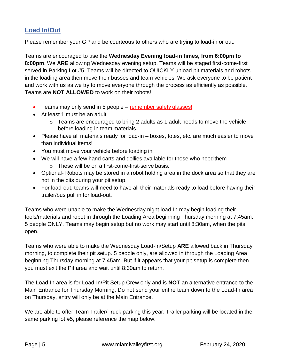## <span id="page-5-0"></span>**Load In/Out**

Please remember your GP and be courteous to others who are trying to load-in or out.

Teams are encouraged to use the **Wednesday Evening load-in times, from 6:00pm to 8:00pm**. We **ARE** allowing Wednesday evening setup. Teams will be staged first-come-first served in Parking Lot #5. Teams will be directed to QUICKLY unload pit materials and robots in the loading area then move their busses and team vehicles. We ask everyone to be patient and work with us as we try to move everyone through the process as efficiently as possible. Teams are **NOT ALLOWED** to work on their robots!

- Teams may only send in 5 people remember safety glasses!
- At least 1 must be an adult
	- $\circ$  Teams are encouraged to bring 2 adults as 1 adult needs to move the vehicle before loading in team materials.
- Please have all materials ready for load-in boxes, totes, etc. are much easier to move than individual items!
- You must move your vehicle before loading in.
- We will have a few hand carts and dollies available for those who need them o These will be on a first-come-first-serve basis.
- Optional- Robots may be stored in a robot holding area in the dock area so that they are not in the pits during your pit setup.
- For load-out, teams will need to have all their materials ready to load before having their trailer/bus pull in for load-out.

Teams who were unable to make the Wednesday night load-In may begin loading their tools/materials and robot in through the Loading Area beginning Thursday morning at 7:45am. 5 people ONLY. Teams may begin setup but no work may start until 8:30am, when the pits open.

Teams who were able to make the Wednesday Load-In/Setup **ARE** allowed back in Thursday morning, to complete their pit setup. 5 people only, are allowed in through the Loading Area beginning Thursday morning at 7:45am. But if it appears that your pit setup is complete then you must exit the Pit area and wait until 8:30am to return.

The Load-In area is for Load-In/Pit Setup Crew only and is **NOT** an alternative entrance to the Main Entrance for Thursday Morning. Do not send your entire team down to the Load-In area on Thursday, entry will only be at the Main Entrance.

We are able to offer Team Trailer/Truck parking this year. Trailer parking will be located in the same parking lot #5, please reference the map below.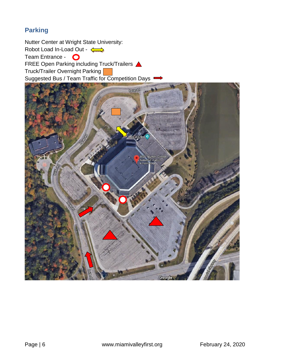# <span id="page-6-0"></span>**Parking**

Nutter Center at Wright State University: Robot Load In-Load Out -  $\leftarrow$ Team Entrance - O FREE Open Parking including Truck/Trailers Truck/Trailer Overnight Parking Suggested Bus / Team Traffic for Competition Days .

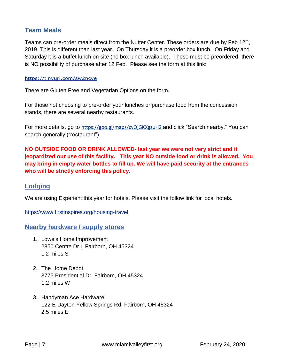## <span id="page-7-0"></span>**Team Meals**

Teams can pre-order meals direct from the Nutter Center. These orders are due by Feb 12<sup>th</sup>, 2019. This is different than last year. On Thursday it is a preorder box lunch. On Friday and Saturday it is a buffet lunch on site (no box lunch available). These must be preordered- there is NO possibility of purchase after 12 Feb. Please see the form at this link:

#### https://tinyurl.com/sw2ncve

There are Gluten Free and Vegetarian Options on the form.

For those not choosing to pre-order your lunches or purchase food from the concession stands, there are several nearby restaurants.

For more details, go to https://goo.gl/maps/cyQjGKXgzuH2 and click "Search nearby." You can search generally ("restaurant")

**NO OUTSIDE FOOD OR DRINK ALLOWED- last year we were not very strict and it jeopardized our use of this facility. This year NO outside food or drink is allowed. You may bring in empty water bottles to fill up. We will have paid security at the entrances who will be strictly enforcing this policy.**

## <span id="page-7-1"></span>**Lodging**

We are using Experient this year for hotels. Please visit the follow link for local hotels.

https:/[/www.firstinspires.org/housing-travel](http://www.firstinspires.org/housing-travel)

<span id="page-7-2"></span>**Nearby hardware / supply stores**

- 1. Lowe's Home Improvement 2850 Centre Dr I, Fairborn, OH 45324 1.2 miles S
- 2. The Home Depot 3775 Presidential Dr, Fairborn, OH 45324 1.2 miles W
- 3. Handyman Ace Hardware 122 E Dayton Yellow Springs Rd, Fairborn, OH 45324 2.5 miles E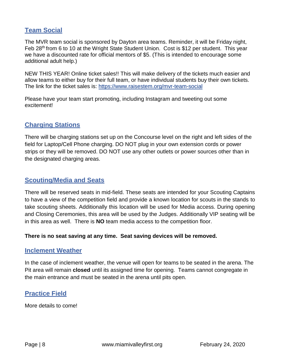## <span id="page-8-0"></span>**Team Social**

The MVR team social is sponsored by Dayton area teams. Reminder, it will be Friday night, Feb 28<sup>th</sup> from 6 to 10 at the Wright State Student Union. Cost is \$12 per student. This year we have a discounted rate for official mentors of \$5. (This is intended to encourage some additional adult help.)

NEW THIS YEAR! Online ticket sales!! This will make delivery of the tickets much easier and allow teams to either buy for their full team, or have individual students buy their own tickets. The link for the ticket sales is: https:/[/www.raisestem.org/mvr-team-social](http://www.raisestem.org/mvr-team-social)

Please have your team start promoting, including Instagram and tweeting out some excitement!

## <span id="page-8-1"></span>**Charging Stations**

There will be charging stations set up on the Concourse level on the right and left sides of the field for Laptop/Cell Phone charging. DO NOT plug in your own extension cords or power strips or they will be removed. DO NOT use any other outlets or power sources other than in the designated charging areas.

## <span id="page-8-2"></span>**Scouting/Media and Seats**

There will be reserved seats in mid-field. These seats are intended for your Scouting Captains to have a view of the competition field and provide a known location for scouts in the stands to take scouting sheets. Additionally this location will be used for Media access. During opening and Closing Ceremonies, this area will be used by the Judges. Additionally VIP seating will be in this area as well. There is **NO** team media access to the competition floor.

#### **There is no seat saving at any time. Seat saving devices will be removed.**

#### <span id="page-8-3"></span>**Inclement Weather**

In the case of inclement weather, the venue will open for teams to be seated in the arena. The Pit area will remain **closed** until its assigned time for opening. Teams cannot congregate in the main entrance and must be seated in the arena until pits open.

## <span id="page-8-4"></span>**Practice Field**

More details to come!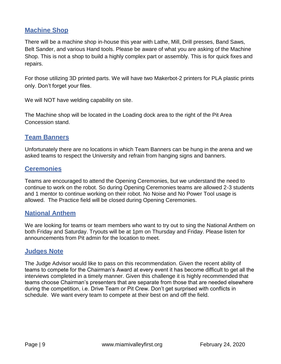## <span id="page-9-0"></span>**Machine Shop**

There will be a machine shop in-house this year with Lathe, Mill, Drill presses, Band Saws, Belt Sander, and various Hand tools. Please be aware of what you are asking of the Machine Shop. This is not a shop to build a highly complex part or assembly. This is for quick fixes and repairs.

For those utilizing 3D printed parts. We will have two Makerbot-2 printers for PLA plastic prints only. Don't forget your files.

We will NOT have welding capability on site.

The Machine shop will be located in the Loading dock area to the right of the Pit Area Concession stand.

#### <span id="page-9-1"></span>**Team Banners**

Unfortunately there are no locations in which Team Banners can be hung in the arena and we asked teams to respect the University and refrain from hanging signs and banners.

#### <span id="page-9-2"></span>**Ceremonies**

Teams are encouraged to attend the Opening Ceremonies, but we understand the need to continue to work on the robot. So during Opening Ceremonies teams are allowed 2-3 students and 1 mentor to continue working on their robot. No Noise and No Power Tool usage is allowed. The Practice field will be closed during Opening Ceremonies.

## <span id="page-9-3"></span>**National Anthem**

We are looking for teams or team members who want to try out to sing the National Anthem on both Friday and Saturday. Tryouts will be at 1pm on Thursday and Friday. Please listen for announcements from Pit admin for the location to meet.

#### <span id="page-9-4"></span>**Judges Note**

The Judge Advisor would like to pass on this recommendation. Given the recent ability of teams to compete for the Chairman's Award at every event it has become difficult to get all the interviews completed in a timely manner. Given this challenge it is highly recommended that teams choose Chairman's presenters that are separate from those that are needed elsewhere during the competition, i.e. Drive Team or Pit Crew. Don't get surprised with conflicts in schedule. We want every team to compete at their best on and off the field.